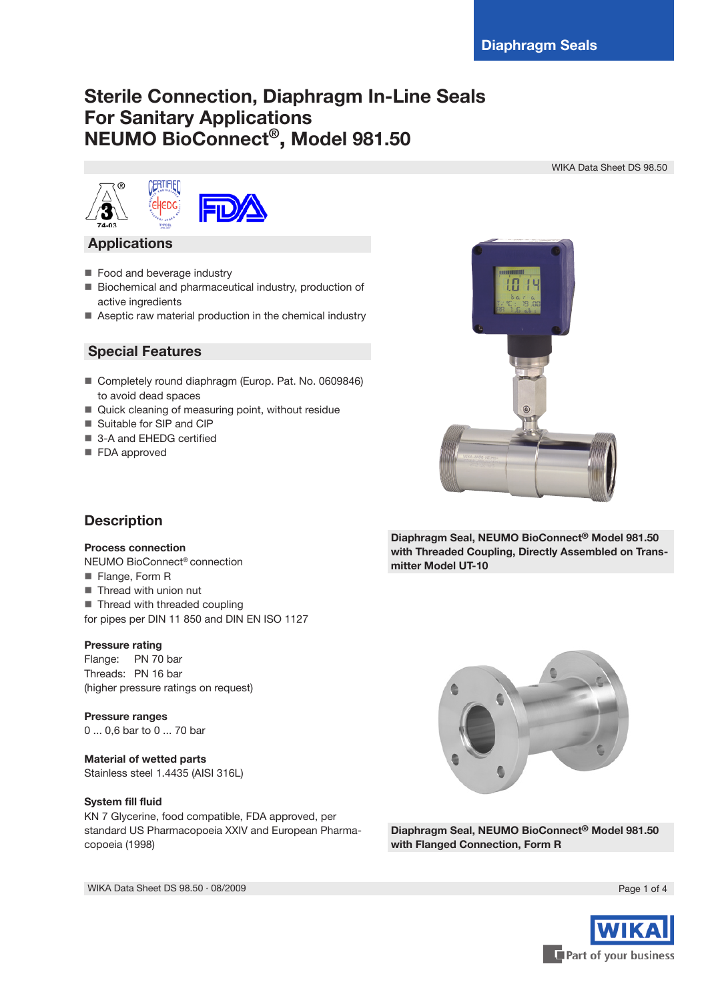# **Sterile Connection, Diaphragm In-Line Seals For Sanitary Applications NEUMO BioConnect® , Model 981.50**

WIKA Data Sheet DS 98.50





## **Applications**

- Food and beverage industry
- Biochemical and pharmaceutical industry, production of active ingredients
- Aseptic raw material production in the chemical industry

## **Special Features**

- Completely round diaphragm (Europ. Pat. No. 0609846) to avoid dead spaces
- Quick cleaning of measuring point, without residue
- Suitable for SIP and CIP
- 3-A and EHEDG certified
- **FDA** approved



**Diaphragm Seal, NEUMO BioConnect® Model 981.50 with Threaded Coupling, Directly Assembled on Transmitter Model UT-10**

# **Description**

#### **Process connection**

NEUMO BioConnect® connection **Flange, Form R** 

- **Thread with union nut**
- Thread with threaded coupling
- for pipes per DIN 11 850 and DIN EN ISO 1127

#### **Pressure rating**

Flange: PN 70 bar Threads: PN 16 bar (higher pressure ratings on request)

**Pressure ranges** 0 ... 0,6 bar to 0 ... 70 bar

#### **Material of wetted parts**

Stainless steel 1.4435 (AISI 316L)

#### **System fill fluid**

KN 7 Glycerine, food compatible, FDA approved, per standard US Pharmacopoeia XXIV and European Pharmacopoeia (1998)



**Diaphragm Seal, NEUMO BioConnect® Model 981.50 with Flanged Connection, Form R**



WIKA Data Sheet DS 98.50 ⋅ 08/2009 Page 1 of 4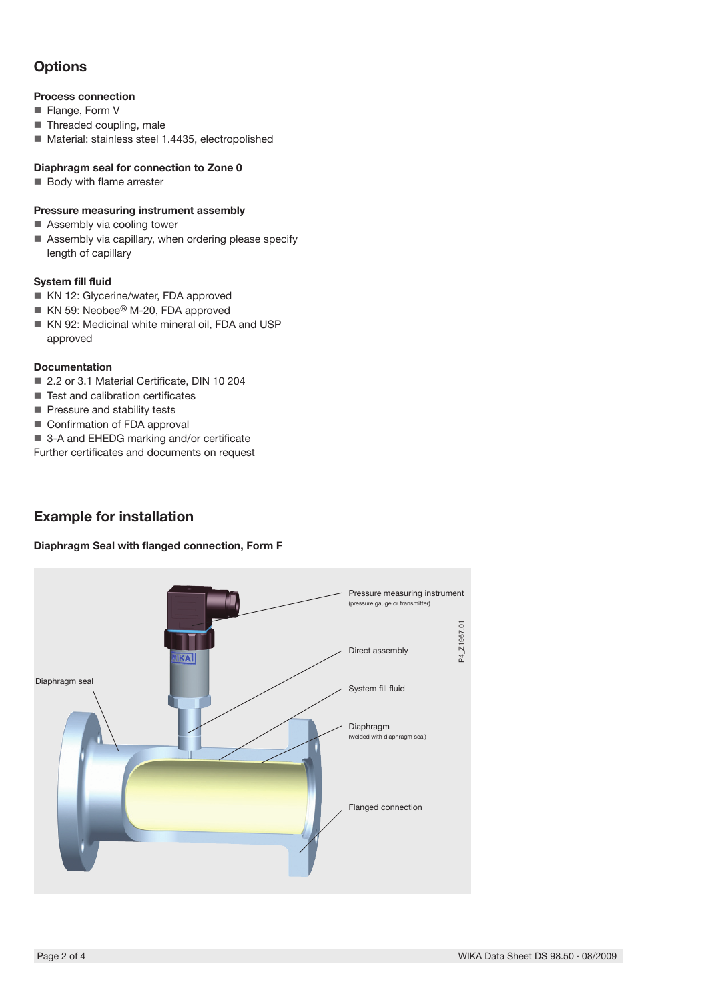# **Options**

### **Process connection**

- Flange, Form V
- Threaded coupling, male
- Material: stainless steel 1.4435, electropolished

### **Diaphragm seal for connection to Zone 0**

**Body with flame arrester** 

### **Pressure measuring instrument assembly**

- Assembly via cooling tower
- Assembly via capillary, when ordering please specify length of capillary

#### **System fill fluid**

- KN 12: Glycerine/water, FDA approved
- KN 59: Neobee<sup>®</sup> M-20, FDA approved
- KN 92: Medicinal white mineral oil, FDA and USP approved

### **Documentation**

- 2.2 or 3.1 Material Certificate, DIN 10 204
- Test and calibration certificates
- Pressure and stability tests
- Confirmation of FDA approval
- 3-A and EHEDG marking and/or certificate
- Further certificates and documents on request

# **Example for installation**

#### **Diaphragm Seal with flanged connection, Form F**

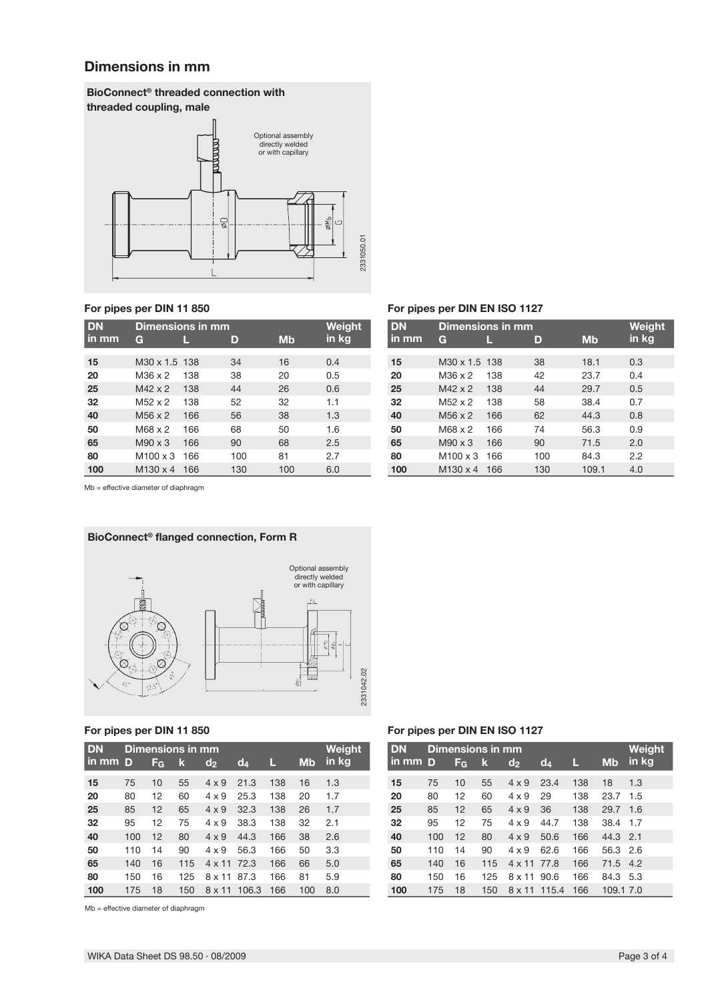## **Dimensions in mm**

### **BioConnect® threaded connection with threaded coupling, male**



| <b>DN</b> | Dimensions in mm    | Weight |     |           |       |
|-----------|---------------------|--------|-----|-----------|-------|
| in mm     | G                   |        | D   | <b>Mb</b> | in kg |
|           |                     |        |     |           |       |
| 15        | M30 x 1.5 138       |        | 34  | 16        | 0.4   |
| 20        | M36 x 2             | 138    | 38  | 20        | 0.5   |
| 25        | $M42 \times 2$      | 138    | 44  | 26        | 0.6   |
| 32        | $M52 \times 2$      | 138    | 52  | 32        | 1.1   |
| 40        | M <sub>56</sub> x 2 | 166    | 56  | 38        | 1.3   |
| 50        | M68 x 2             | 166    | 68  | 50        | 1.6   |
| 65        | $M90 \times 3$      | 166    | 90  | 68        | 2.5   |
| 80        | $M100 \times 3$     | 166    | 100 | 81        | 2.7   |
| 100       | M130 x 4            | 166    | 130 | 100       | 6.0   |

### **For pipes per DIN 11 850 For pipes per DIN EN ISO 1127**

| <b>DN</b> | Dimensions in mm          | Weight |     |       |       |
|-----------|---------------------------|--------|-----|-------|-------|
| in mm     | G                         |        | D   | Mb    | in kg |
| 15        | M <sub>30</sub> x 1.5 138 |        | 38  | 18.1  | 0.3   |
| 20        | M36 x 2                   | 138    | 42  | 23.7  | 0.4   |
| 25        | $M42 \times 2$            | 138    | 44  | 29.7  | 0.5   |
| 32        | M52 x 2                   | 138    | 58  | 38.4  | 0.7   |
| 40        | $M56 \times 2$            | 166    | 62  | 44.3  | 0.8   |
| 50        | $M68 \times 2$            | 166    | 74  | 56.3  | 0.9   |
| 65        | $M90 \times 3$            | 166    | 90  | 71.5  | 2.0   |
| 80        | $M100 \times 3$           | 166    | 100 | 84.3  | 2.2   |
| 100       | M130 x 4                  | 166    | 130 | 109.1 | 4.0   |

Mb = effective diameter of diaphragm



| <b>DN</b> | Dimensions in mm |                |     |                |       |     |           | Weight |
|-----------|------------------|----------------|-----|----------------|-------|-----|-----------|--------|
| in mm     | D                | F <sub>G</sub> | k   | d <sub>2</sub> | $d_4$ | Ш   | <b>Mb</b> | in kg  |
| 15        | 75               | 10             | 55  | $4 \times 9$   | 21.3  | 138 | 16        | 1.3    |
| 20        | 80               | 12             | 60  | $4 \times 9$   | 25.3  | 138 | 20        | 1.7    |
| 25        | 85               | 12             | 65  | $4 \times 9$   | 32.3  | 138 | 26        | 1.7    |
| 32        | 95               | 12             | 75  | $4 \times 9$   | 38.3  | 138 | 32        | 2.1    |
| 40        | 100              | 12             | 80  | $4 \times 9$   | 44.3  | 166 | 38        | 2.6    |
| 50        | 110              | 14             | 90  | $4 \times 9$   | 56.3  | 166 | 50        | 3.3    |
| 65        | 140              | 16             | 115 | 4 x 11         | 72.3  | 166 | 66        | 5.0    |
| 80        | 150              | 16             | 125 | $8 \times 11$  | 87.3  | 166 | 81        | 5.9    |
| 100       | 175              | 18             | 150 | $8 \times 11$  | 106.3 | 166 | 100       | 8.0    |

Mb = effective diameter of diaphragm

#### **For pipes per DIN 11 850 For pipes per DIN EN ISO 1127**

| <b>DN</b> | Dimensions in mm |                |     |                |       |     |           | Weight |
|-----------|------------------|----------------|-----|----------------|-------|-----|-----------|--------|
| in mm D   |                  | F <sub>G</sub> | k   | d <sub>2</sub> | $d_4$ | L   | <b>Mb</b> | in kg  |
| 15        | 75               | 10             | 55  | $4 \times 9$   | 23.4  | 138 | 18        | 1.3    |
| 20        | 80               | 12             | 60  | $4 \times 9$   | 29    | 138 | 23.7      | 1.5    |
| 25        | 85               | 12             | 65  | $4 \times 9$   | 36    | 138 | 29.7      | 1.6    |
| 32        | 95               | 12             | 75  | $4 \times 9$   | 44.7  | 138 | 38.4      | 1.7    |
| 40        | 100              | 12             | 80  | $4 \times 9$   | 50.6  | 166 | 44.3      | 2.1    |
| 50        | 110              | 14             | 90  | $4 \times 9$   | 62.6  | 166 | 56.3      | 2.6    |
| 65        | 140              | 16             | 115 | $4 \times 11$  | 77.8  | 166 | 71.5      | 4.2    |
| 80        | 150              | 16             | 125 | $8 \times 11$  | 90.6  | 166 | 84.3      | 5.3    |
| 100       | 175              | 18             | 150 | 8 x 11         | 115.4 | 166 | 109.1 7.0 |        |